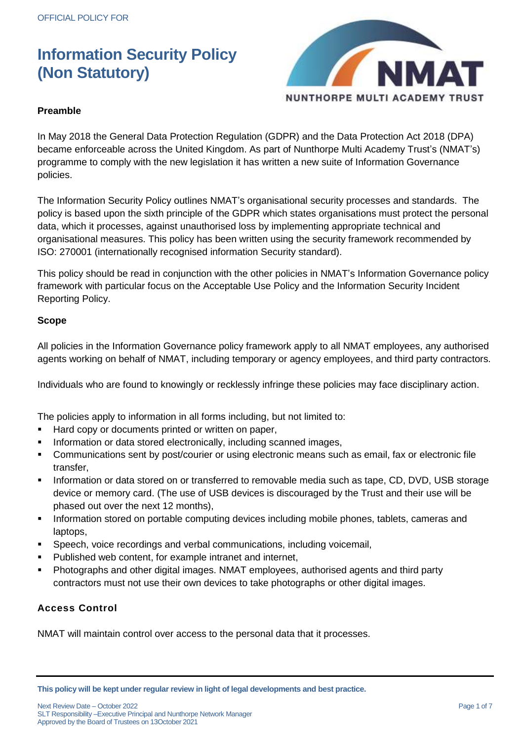

## **Preamble**

In May 2018 the General Data Protection Regulation (GDPR) and the Data Protection Act 2018 (DPA) became enforceable across the United Kingdom. As part of Nunthorpe Multi Academy Trust's (NMAT's) programme to comply with the new legislation it has written a new suite of Information Governance policies.

The Information Security Policy outlines NMAT's organisational security processes and standards. The policy is based upon the sixth principle of the GDPR which states organisations must protect the personal data, which it processes, against unauthorised loss by implementing appropriate technical and organisational measures. This policy has been written using the security framework recommended by ISO: 270001 (internationally recognised information Security standard).

This policy should be read in conjunction with the other policies in NMAT's Information Governance policy framework with particular focus on the Acceptable Use Policy and the Information Security Incident Reporting Policy.

## **Scope**

All policies in the Information Governance policy framework apply to all NMAT employees, any authorised agents working on behalf of NMAT, including temporary or agency employees, and third party contractors.

Individuals who are found to knowingly or recklessly infringe these policies may face disciplinary action.

The policies apply to information in all forms including, but not limited to:

- Hard copy or documents printed or written on paper,
- **Information or data stored electronically, including scanned images,**
- Communications sent by post/courier or using electronic means such as email, fax or electronic file transfer,
- Information or data stored on or transferred to removable media such as tape, CD, DVD, USB storage device or memory card. (The use of USB devices is discouraged by the Trust and their use will be phased out over the next 12 months),
- **Information stored on portable computing devices including mobile phones, tablets, cameras and** laptops,
- Speech, voice recordings and verbal communications, including voicemail,
- **Published web content, for example intranet and internet,**
- Photographs and other digital images. NMAT employees, authorised agents and third party contractors must not use their own devices to take photographs or other digital images.

## **Access Control**

NMAT will maintain control over access to the personal data that it processes.

**This policy will be kept under regular review in light of legal developments and best practice.**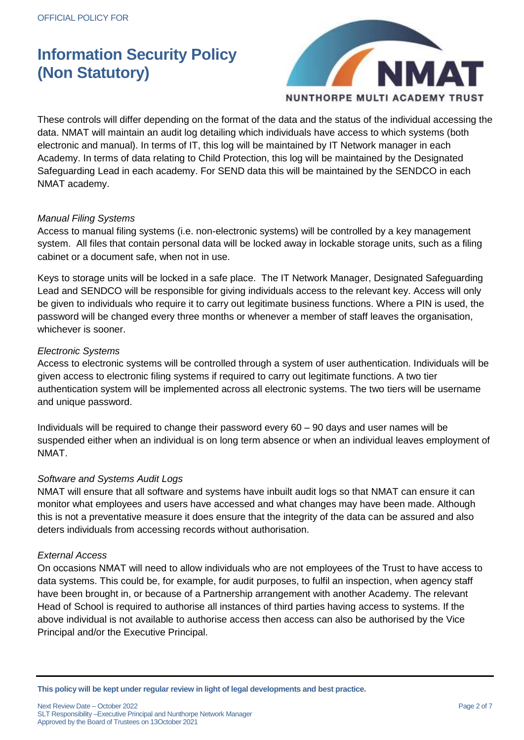

These controls will differ depending on the format of the data and the status of the individual accessing the data. NMAT will maintain an audit log detailing which individuals have access to which systems (both electronic and manual). In terms of IT, this log will be maintained by IT Network manager in each Academy. In terms of data relating to Child Protection, this log will be maintained by the Designated Safeguarding Lead in each academy. For SEND data this will be maintained by the SENDCO in each NMAT academy.

## *Manual Filing Systems*

Access to manual filing systems (i.e. non-electronic systems) will be controlled by a key management system. All files that contain personal data will be locked away in lockable storage units, such as a filing cabinet or a document safe, when not in use.

Keys to storage units will be locked in a safe place. The IT Network Manager, Designated Safeguarding Lead and SENDCO will be responsible for giving individuals access to the relevant key. Access will only be given to individuals who require it to carry out legitimate business functions. Where a PIN is used, the password will be changed every three months or whenever a member of staff leaves the organisation, whichever is sooner.

## *Electronic Systems*

Access to electronic systems will be controlled through a system of user authentication. Individuals will be given access to electronic filing systems if required to carry out legitimate functions. A two tier authentication system will be implemented across all electronic systems. The two tiers will be username and unique password.

Individuals will be required to change their password every 60 – 90 days and user names will be suspended either when an individual is on long term absence or when an individual leaves employment of NMAT.

## *Software and Systems Audit Logs*

NMAT will ensure that all software and systems have inbuilt audit logs so that NMAT can ensure it can monitor what employees and users have accessed and what changes may have been made. Although this is not a preventative measure it does ensure that the integrity of the data can be assured and also deters individuals from accessing records without authorisation.

## *External Access*

On occasions NMAT will need to allow individuals who are not employees of the Trust to have access to data systems. This could be, for example, for audit purposes, to fulfil an inspection, when agency staff have been brought in, or because of a Partnership arrangement with another Academy. The relevant Head of School is required to authorise all instances of third parties having access to systems. If the above individual is not available to authorise access then access can also be authorised by the Vice Principal and/or the Executive Principal.

**This policy will be kept under regular review in light of legal developments and best practice.**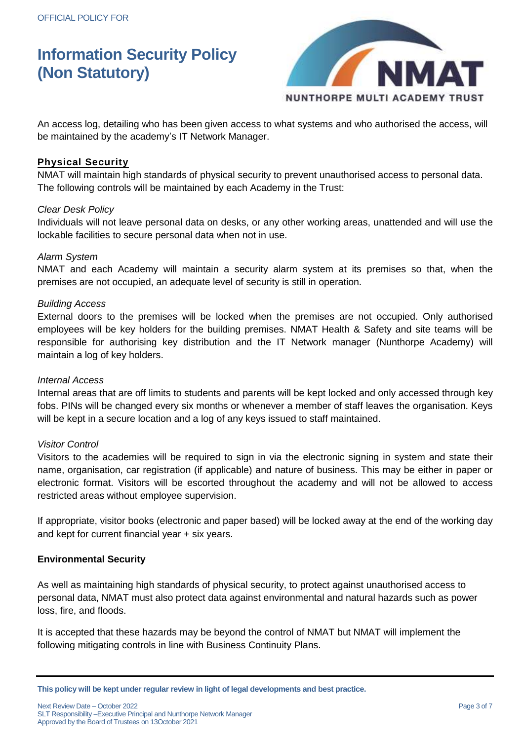

An access log, detailing who has been given access to what systems and who authorised the access, will be maintained by the academy's IT Network Manager.

## **Physical Security**

NMAT will maintain high standards of physical security to prevent unauthorised access to personal data. The following controls will be maintained by each Academy in the Trust:

#### *Clear Desk Policy*

Individuals will not leave personal data on desks, or any other working areas, unattended and will use the lockable facilities to secure personal data when not in use.

#### *Alarm System*

NMAT and each Academy will maintain a security alarm system at its premises so that, when the premises are not occupied, an adequate level of security is still in operation.

#### *Building Access*

External doors to the premises will be locked when the premises are not occupied. Only authorised employees will be key holders for the building premises. NMAT Health & Safety and site teams will be responsible for authorising key distribution and the IT Network manager (Nunthorpe Academy) will maintain a log of key holders.

#### *Internal Access*

Internal areas that are off limits to students and parents will be kept locked and only accessed through key fobs. PINs will be changed every six months or whenever a member of staff leaves the organisation. Keys will be kept in a secure location and a log of any keys issued to staff maintained.

## *Visitor Control*

Visitors to the academies will be required to sign in via the electronic signing in system and state their name, organisation, car registration (if applicable) and nature of business. This may be either in paper or electronic format. Visitors will be escorted throughout the academy and will not be allowed to access restricted areas without employee supervision.

If appropriate, visitor books (electronic and paper based) will be locked away at the end of the working day and kept for current financial year + six years.

## **Environmental Security**

As well as maintaining high standards of physical security, to protect against unauthorised access to personal data, NMAT must also protect data against environmental and natural hazards such as power loss, fire, and floods.

It is accepted that these hazards may be beyond the control of NMAT but NMAT will implement the following mitigating controls in line with Business Continuity Plans.

**This policy will be kept under regular review in light of legal developments and best practice.**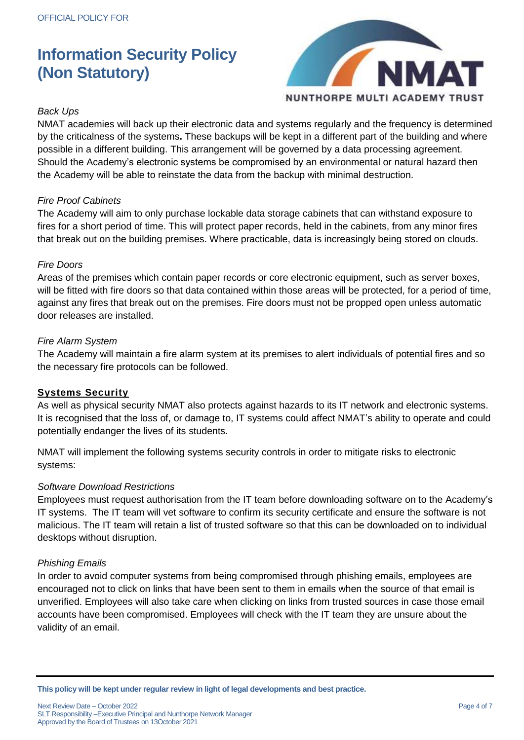

## *Back Ups*

NMAT academies will back up their electronic data and systems regularly and the frequency is determined by the criticalness of the systems**.** These backups will be kept in a different part of the building and where possible in a different building. This arrangement will be governed by a data processing agreement. Should the Academy's electronic systems be compromised by an environmental or natural hazard then the Academy will be able to reinstate the data from the backup with minimal destruction.

## *Fire Proof Cabinets*

The Academy will aim to only purchase lockable data storage cabinets that can withstand exposure to fires for a short period of time. This will protect paper records, held in the cabinets, from any minor fires that break out on the building premises. Where practicable, data is increasingly being stored on clouds.

#### *Fire Doors*

Areas of the premises which contain paper records or core electronic equipment, such as server boxes, will be fitted with fire doors so that data contained within those areas will be protected, for a period of time, against any fires that break out on the premises. Fire doors must not be propped open unless automatic door releases are installed.

#### *Fire Alarm System*

The Academy will maintain a fire alarm system at its premises to alert individuals of potential fires and so the necessary fire protocols can be followed.

## **Systems Security**

As well as physical security NMAT also protects against hazards to its IT network and electronic systems. It is recognised that the loss of, or damage to, IT systems could affect NMAT's ability to operate and could potentially endanger the lives of its students.

NMAT will implement the following systems security controls in order to mitigate risks to electronic systems:

#### *Software Download Restrictions*

Employees must request authorisation from the IT team before downloading software on to the Academy's IT systems. The IT team will vet software to confirm its security certificate and ensure the software is not malicious. The IT team will retain a list of trusted software so that this can be downloaded on to individual desktops without disruption.

#### *Phishing Emails*

In order to avoid computer systems from being compromised through phishing emails, employees are encouraged not to click on links that have been sent to them in emails when the source of that email is unverified. Employees will also take care when clicking on links from trusted sources in case those email accounts have been compromised. Employees will check with the IT team they are unsure about the validity of an email.

**This policy will be kept under regular review in light of legal developments and best practice.**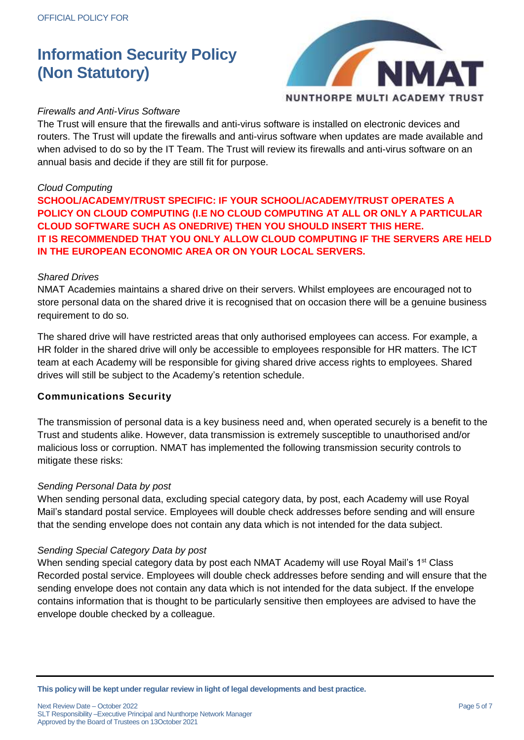

## *Firewalls and Anti-Virus Software*

The Trust will ensure that the firewalls and anti-virus software is installed on electronic devices and routers. The Trust will update the firewalls and anti-virus software when updates are made available and when advised to do so by the IT Team. The Trust will review its firewalls and anti-virus software on an annual basis and decide if they are still fit for purpose.

## *Cloud Computing*

**SCHOOL/ACADEMY/TRUST SPECIFIC: IF YOUR SCHOOL/ACADEMY/TRUST OPERATES A POLICY ON CLOUD COMPUTING (I.E NO CLOUD COMPUTING AT ALL OR ONLY A PARTICULAR CLOUD SOFTWARE SUCH AS ONEDRIVE) THEN YOU SHOULD INSERT THIS HERE. IT IS RECOMMENDED THAT YOU ONLY ALLOW CLOUD COMPUTING IF THE SERVERS ARE HELD IN THE EUROPEAN ECONOMIC AREA OR ON YOUR LOCAL SERVERS.**

#### *Shared Drives*

NMAT Academies maintains a shared drive on their servers. Whilst employees are encouraged not to store personal data on the shared drive it is recognised that on occasion there will be a genuine business requirement to do so.

The shared drive will have restricted areas that only authorised employees can access. For example, a HR folder in the shared drive will only be accessible to employees responsible for HR matters. The ICT team at each Academy will be responsible for giving shared drive access rights to employees. Shared drives will still be subject to the Academy's retention schedule.

## **Communications Security**

The transmission of personal data is a key business need and, when operated securely is a benefit to the Trust and students alike. However, data transmission is extremely susceptible to unauthorised and/or malicious loss or corruption. NMAT has implemented the following transmission security controls to mitigate these risks:

#### *Sending Personal Data by post*

When sending personal data, excluding special category data, by post, each Academy will use Royal Mail's standard postal service. Employees will double check addresses before sending and will ensure that the sending envelope does not contain any data which is not intended for the data subject.

## *Sending Special Category Data by post*

When sending special category data by post each NMAT Academy will use Royal Mail's 1<sup>st</sup> Class Recorded postal service. Employees will double check addresses before sending and will ensure that the sending envelope does not contain any data which is not intended for the data subject. If the envelope contains information that is thought to be particularly sensitive then employees are advised to have the envelope double checked by a colleague.

**This policy will be kept under regular review in light of legal developments and best practice.**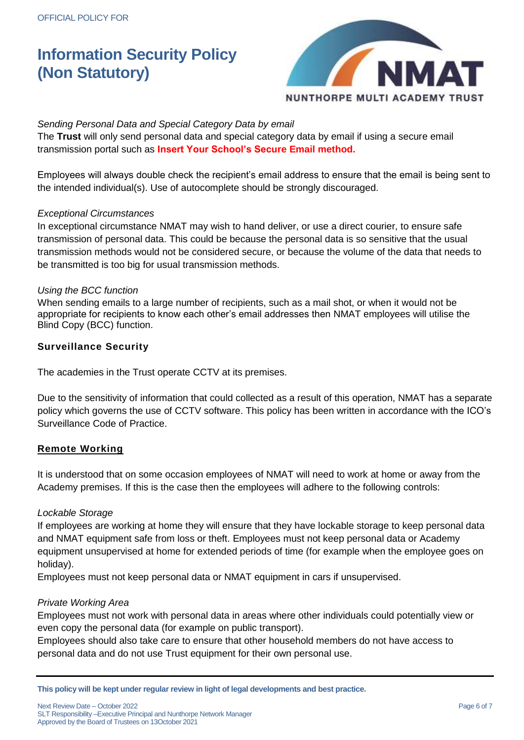

## *Sending Personal Data and Special Category Data by email*

The **Trust** will only send personal data and special category data by email if using a secure email transmission portal such as **Insert Your School's Secure Email method.**

Employees will always double check the recipient's email address to ensure that the email is being sent to the intended individual(s). Use of autocomplete should be strongly discouraged.

#### *Exceptional Circumstances*

In exceptional circumstance NMAT may wish to hand deliver, or use a direct courier, to ensure safe transmission of personal data. This could be because the personal data is so sensitive that the usual transmission methods would not be considered secure, or because the volume of the data that needs to be transmitted is too big for usual transmission methods.

#### *Using the BCC function*

When sending emails to a large number of recipients, such as a mail shot, or when it would not be appropriate for recipients to know each other's email addresses then NMAT employees will utilise the Blind Copy (BCC) function.

## **Surveillance Security**

The academies in the Trust operate CCTV at its premises.

Due to the sensitivity of information that could collected as a result of this operation, NMAT has a separate policy which governs the use of CCTV software. This policy has been written in accordance with the ICO's Surveillance Code of Practice.

## **Remote Working**

It is understood that on some occasion employees of NMAT will need to work at home or away from the Academy premises. If this is the case then the employees will adhere to the following controls:

## *Lockable Storage*

If employees are working at home they will ensure that they have lockable storage to keep personal data and NMAT equipment safe from loss or theft. Employees must not keep personal data or Academy equipment unsupervised at home for extended periods of time (for example when the employee goes on holiday).

Employees must not keep personal data or NMAT equipment in cars if unsupervised.

#### *Private Working Area*

Employees must not work with personal data in areas where other individuals could potentially view or even copy the personal data (for example on public transport).

Employees should also take care to ensure that other household members do not have access to personal data and do not use Trust equipment for their own personal use.